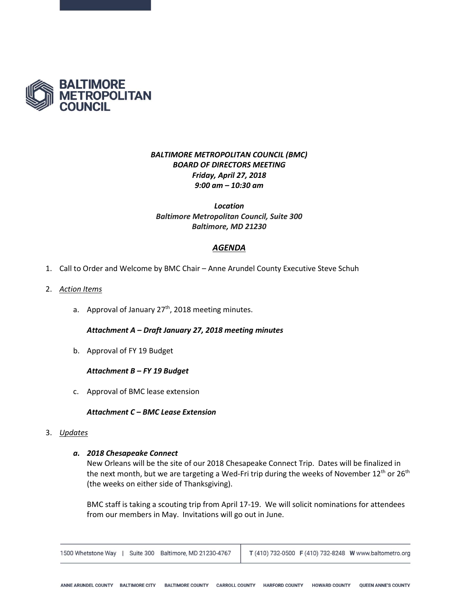

# *BALTIMORE METROPOLITAN COUNCIL (BMC) BOARD OF DIRECTORS MEETING Friday, April 27, 2018 9:00 am – 10:30 am*

*Location Baltimore Metropolitan Council, Suite 300 Baltimore, MD 21230*

## *AGENDA*

- 1. Call to Order and Welcome by BMC Chair Anne Arundel County Executive Steve Schuh
- 2. *Action Items*
	- a. Approval of January 27<sup>th</sup>, 2018 meeting minutes.

*Attachment A – Draft January 27, 2018 meeting minutes*

b. Approval of FY 19 Budget

### *Attachment B – FY 19 Budget*

c. Approval of BMC lease extension

## *Attachment C – BMC Lease Extension*

### 3. *Updates*

## *a. 2018 Chesapeake Connect*

New Orleans will be the site of our 2018 Chesapeake Connect Trip. Dates will be finalized in the next month, but we are targeting a Wed-Fri trip during the weeks of November 12<sup>th</sup> or 26<sup>th</sup> (the weeks on either side of Thanksgiving).

BMC staff is taking a scouting trip from April 17-19. We will solicit nominations for attendees from our members in May. Invitations will go out in June.

|  |  | 1500 Whetstone Way   Suite 300 Baltimore, MD 21230-4767   T (410) 732-0500 F (410) 732-8248 W www.baltometro.org |  |  |  |
|--|--|------------------------------------------------------------------------------------------------------------------|--|--|--|
|--|--|------------------------------------------------------------------------------------------------------------------|--|--|--|